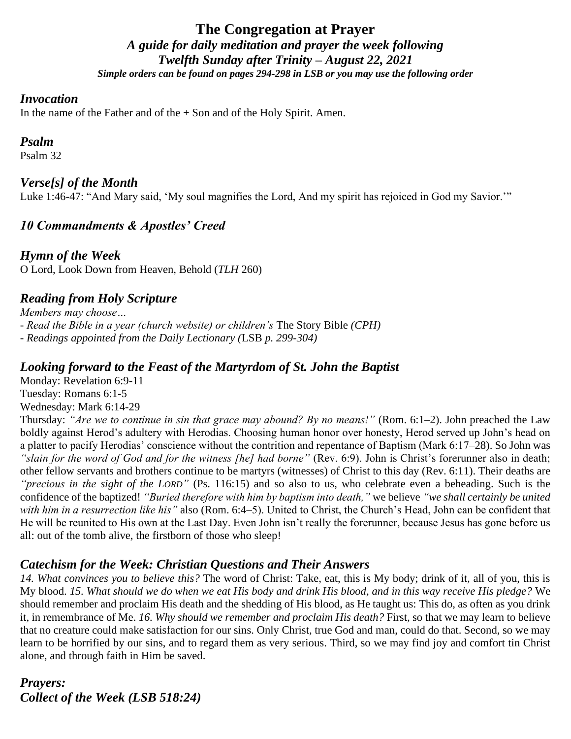# **The Congregation at Prayer** *A guide for daily meditation and prayer the week following Twelfth Sunday after Trinity – August 22, 2021 Simple orders can be found on pages 294-298 in LSB or you may use the following order*

### *Invocation*

In the name of the Father and of the  $+$  Son and of the Holy Spirit. Amen.

## *Psalm*

Psalm 32

## *Verse[s] of the Month*

Luke 1:46-47: "And Mary said, 'My soul magnifies the Lord, And my spirit has rejoiced in God my Savior.'"

# *10 Commandments & Apostles' Creed*

*Hymn of the Week* O Lord, Look Down from Heaven, Behold (*TLH* 260)

# *Reading from Holy Scripture*

*Members may choose… - Read the Bible in a year (church website) or children's* The Story Bible *(CPH) - Readings appointed from the Daily Lectionary (*LSB *p. 299-304)*

## *Looking forward to the Feast of the Martyrdom of St. John the Baptist*

Monday: Revelation 6:9-11 Tuesday: Romans 6:1-5 Wednesday: Mark 6:14-29

Thursday: *"Are we to continue in sin that grace may abound? By no means!"* (Rom. 6:1–2). John preached the Law boldly against Herod's adultery with Herodias. Choosing human honor over honesty, Herod served up John's head on a platter to pacify Herodias' conscience without the contrition and repentance of Baptism (Mark 6:17–28). So John was *"slain for the word of God and for the witness [he] had borne"* (Rev. 6:9). John is Christ's forerunner also in death; other fellow servants and brothers continue to be martyrs (witnesses) of Christ to this day (Rev. 6:11). Their deaths are *"precious in the sight of the LORD"* (Ps. 116:15) and so also to us, who celebrate even a beheading. Such is the confidence of the baptized! *"Buried therefore with him by baptism into death,"* we believe *"we shall certainly be united with him in a resurrection like his"* also (Rom. 6:4–5). United to Christ, the Church's Head, John can be confident that He will be reunited to His own at the Last Day. Even John isn't really the forerunner, because Jesus has gone before us all: out of the tomb alive, the firstborn of those who sleep!

## *Catechism for the Week: Christian Questions and Their Answers*

*14. What convinces you to believe this?* The word of Christ: Take, eat, this is My body; drink of it, all of you, this is My blood. *15. What should we do when we eat His body and drink His blood, and in this way receive His pledge?* We should remember and proclaim His death and the shedding of His blood, as He taught us: This do, as often as you drink it, in remembrance of Me. *16. Why should we remember and proclaim His death?* First, so that we may learn to believe that no creature could make satisfaction for our sins. Only Christ, true God and man, could do that. Second, so we may learn to be horrified by our sins, and to regard them as very serious. Third, so we may find joy and comfort tin Christ alone, and through faith in Him be saved.

*Prayers: Collect of the Week (LSB 518:24)*